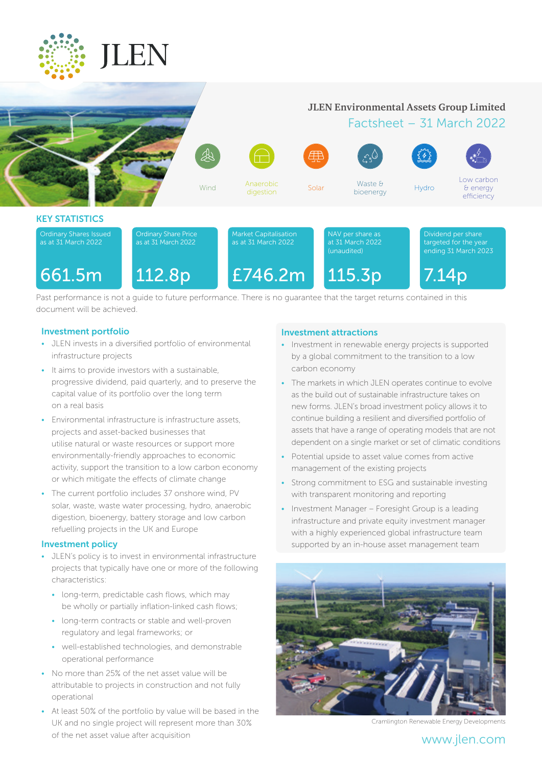

# **JLEN Environmental Assets Group Limited**

# Factsheet – 31 March 2022

Low carbon & energy

661.5m Wind Anaerobic<br>digestion digestion Solar Waste & bioenergy Hydro efficiency KEY STATISTICS Dividend per share targeted for the year ending 31 March 2023 NAV per share as at 31 March 2022 (unaudited) Market Capitalisation as at 31 March 2022 Ordinary Share Price as at 31 March 2022 Ordinary Shares Issued as at 31 March 2022 661.5m 112.8p £746.2m 115.3p 7.14p

 $\overline{\mathcal{A}}$ 

Past performance is not a guide to future performance. There is no guarantee that the target returns contained in this document will be achieved.

# Investment portfolio

- JLEN invests in a diversified portfolio of environmental infrastructure projects
- It aims to provide investors with a sustainable, progressive dividend, paid quarterly, and to preserve the capital value of its portfolio over the long term on a real basis
- Environmental infrastructure is infrastructure assets, projects and asset-backed businesses that utilise natural or waste resources or support more environmentally-friendly approaches to economic activity, support the transition to a low carbon economy or which mitigate the effects of climate change
- The current portfolio includes 37 onshore wind, PV solar, waste, waste water processing, hydro, anaerobic digestion, bioenergy, battery storage and low carbon refuelling projects in the UK and Europe

# Investment policy

- JLEN's policy is to invest in environmental infrastructure projects that typically have one or more of the following characteristics:
	- long-term, predictable cash flows, which may be wholly or partially inflation-linked cash flows;
	- long-term contracts or stable and well-proven regulatory and legal frameworks; or
	- well-established technologies, and demonstrable operational performance
- No more than 25% of the net asset value will be attributable to projects in construction and not fully operational
- At least 50% of the portfolio by value will be based in the UK and no single project will represent more than 30% of the net asset value after acquisition

# Investment attractions

- Investment in renewable energy projects is supported by a global commitment to the transition to a low carbon economy
- The markets in which JLEN operates continue to evolve as the build out of sustainable infrastructure takes on new forms. JLEN's broad investment policy allows it to continue building a resilient and diversified portfolio of assets that have a range of operating models that are not dependent on a single market or set of climatic conditions
- Potential upside to asset value comes from active management of the existing projects
- Strong commitment to ESG and sustainable investing with transparent monitoring and reporting
- Investment Manager Foresight Group is a leading infrastructure and private equity investment manager with a highly experienced global infrastructure team supported by an in-house asset management team



Cramlington Renewable Energy Developments

# www.jlen.com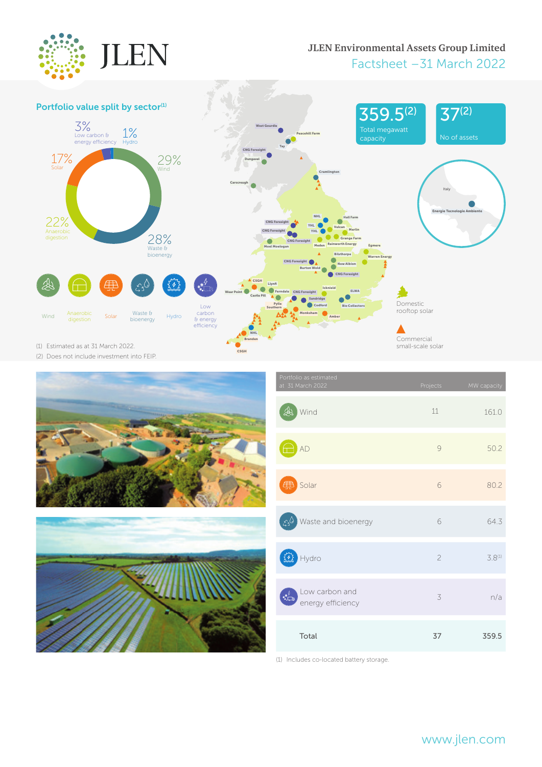

# **JLEN Environmental Assets Group Limited** Factsheet –31 March 2022





| Portfolio as estimated<br>at 31 March 2022                                | Projects       | MW capacity |
|---------------------------------------------------------------------------|----------------|-------------|
| Wind                                                                      | 11             | 161.0       |
| AD                                                                        | 9              | 50.2        |
| Solar<br>毌                                                                | 6              | 80.2        |
| Waste and bioenergy<br>$\mathcal{L}_2$                                    | 6              | 64.3        |
| Hydro                                                                     | $\overline{c}$ | $3.8^{(1)}$ |
| Low carbon and<br>$\bullet$ $\overline{\phantom{a}}$<br>energy efficiency | 3              | n/a         |
| Total                                                                     | 37             | 359.5       |

(1) Includes co-located battery storage.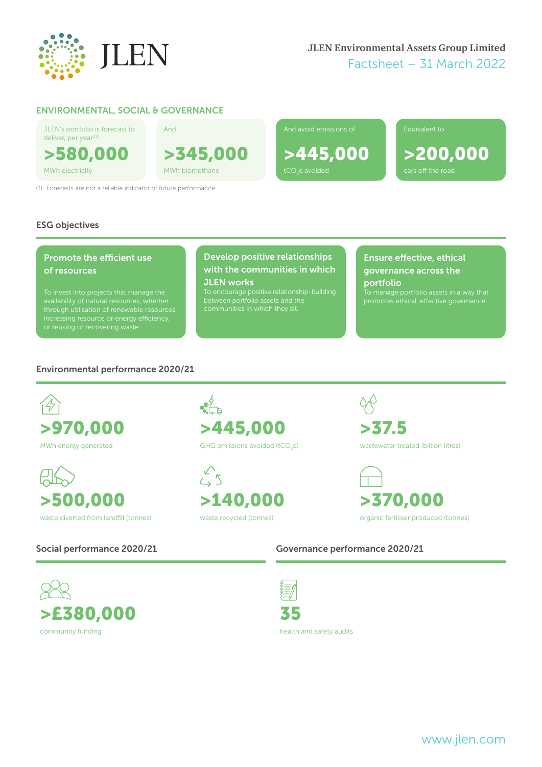

# ENVIRONMENTAL, SOCIAL & GOVERNANCE

JLEN's portfolio is forecast to deliver, per year<sup>[(1)]</sup> >580,000

And

>345,000 MWh electricity MWh biomethane tCO<sub>2</sub>e avoided

(1) Forecasts are not a reliable indicator of future performance.

# And avoid emissions of

>445,000

>200,000

Equivalent to

ESG objectives

# Promote the efficient use of resources

To invest into projects that manage the through utilisation of renewable resources,

# Develop positive relationships with the communities in which

JLEN works To encourage positive relationship‑building between portfolio assets and the

# Ensure effective, ethical governance across the portfolio To manage portfolio assets in a way that

# Environmental performance 2020/21





 $\frac{1}{2}$ >445,000 GHG emissions avoided (tCO<sub>2</sub>e)

 $\sum_{k=1}^{n}$ >140,000 waste recycled (tonnes)

>37.5 wastewater treated (billion litres)



Social performance 2020/21 Governance performance 2020/21





35

health and safety audits